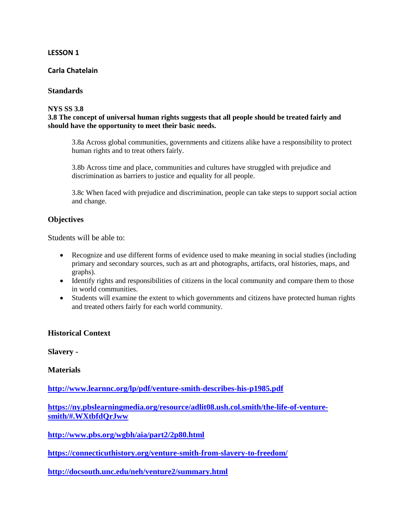### **LESSON 1**

### **Carla Chatelain**

### **Standards**

### **NYS SS 3.8**

### **3.8 The concept of universal human rights suggests that all people should be treated fairly and should have the opportunity to meet their basic needs.**

3.8a Across global communities, governments and citizens alike have a responsibility to protect human rights and to treat others fairly.

3.8b Across time and place, communities and cultures have struggled with prejudice and discrimination as barriers to justice and equality for all people.

3.8c When faced with prejudice and discrimination, people can take steps to support social action and change.

### **Objectives**

Students will be able to:

- Recognize and use different forms of evidence used to make meaning in social studies (including primary and secondary sources, such as art and photographs, artifacts, oral histories, maps, and graphs).
- Identify rights and responsibilities of citizens in the local community and compare them to those in world communities.
- Students will examine the extent to which governments and citizens have protected human rights and treated others fairly for each world community.

### **Historical Context**

**Slavery -**

**Materials**

**<http://www.learnnc.org/lp/pdf/venture-smith-describes-his-p1985.pdf>**

**[https://ny.pbslearningmedia.org/resource/adlit08.ush.col.smith/the-life-of-venture](https://ny.pbslearningmedia.org/resource/adlit08.ush.col.smith/the-life-of-venture-smith/#.WXtbfdQrJww)[smith/#.WXtbfdQrJww](https://ny.pbslearningmedia.org/resource/adlit08.ush.col.smith/the-life-of-venture-smith/#.WXtbfdQrJww)**

**<http://www.pbs.org/wgbh/aia/part2/2p80.html>**

**<https://connecticuthistory.org/venture-smith-from-slavery-to-freedom/>**

**<http://docsouth.unc.edu/neh/venture2/summary.html>**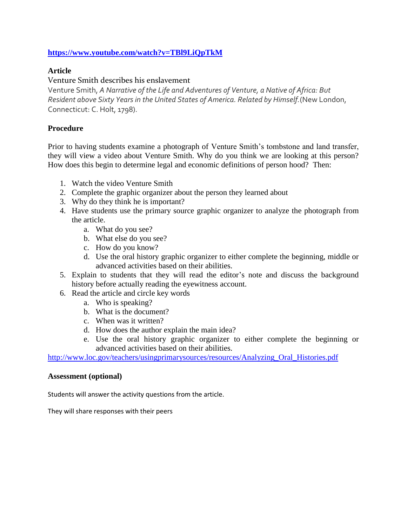### **<https://www.youtube.com/watch?v=TBl9LiQpTkM>**

### **Article**

### Venture Smith describes his enslavement

Venture Smith, *A Narrative of the Life and Adventures of Venture, a Native of Africa: But Resident above Sixty Years in the United States of America. Related by Himself.*(New London, Connecticut: C. Holt, 1798).

### **Procedure**

Prior to having students examine a photograph of Venture Smith's tombstone and land transfer, they will view a video about Venture Smith. Why do you think we are looking at this person? How does this begin to determine legal and economic definitions of person hood? Then:

- 1. Watch the video Venture Smith
- 2. Complete the graphic organizer about the person they learned about
- 3. Why do they think he is important?
- 4. Have students use the primary source graphic organizer to analyze the photograph from the article.
	- a. What do you see?
	- b. What else do you see?
	- c. How do you know?
	- d. Use the oral history graphic organizer to either complete the beginning, middle or advanced activities based on their abilities.
- 5. Explain to students that they will read the editor's note and discuss the background history before actually reading the eyewitness account.
- 6. Read the article and circle key words
	- a. Who is speaking?
	- b. What is the document?
	- c. When was it written?
	- d. How does the author explain the main idea?
	- e. Use the oral history graphic organizer to either complete the beginning or advanced activities based on their abilities.

http://www.loc.gov/teachers/usingprimarysources/resources/Analyzing Oral Histories.pdf

### **Assessment (optional)**

Students will answer the activity questions from the article.

They will share responses with their peers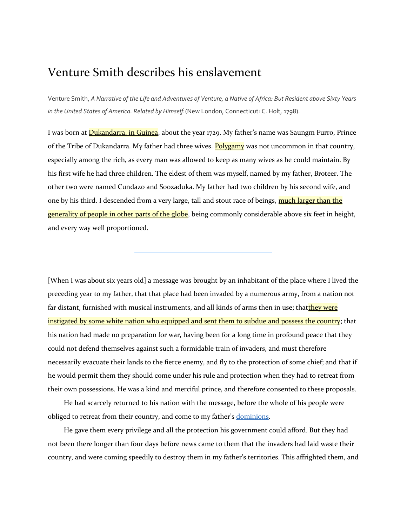# Venture Smith describes his enslavement

Venture Smith, *A Narrative of the Life and Adventures of Venture, a Native of Africa: But Resident above Sixty Years in the United States of America. Related by Himself.*(New London, Connecticut: C. Holt, 1798).

I was born at **[Dukandarra, in Guinea](http://www.learnnc.org/lp/editions/nchist-colonial/1985#comment-1023)**, about the year 1729. My father's name was Saungm Furro, Prince of the Tribe of Dukandarra. My father had three wives. [Polygamy](http://www.learnnc.org/lp/editions/nchist-colonial/1985#comment-1024) was not uncommon in that country, especially among the rich, as every man was allowed to keep as many wives as he could maintain. By his first wife he had three children. The eldest of them was myself, named by my father, Broteer. The other two were named Cundazo and Soozaduka. My father had two children by his second wife, and one by his third. I descended from a very large, tall and stout race of beings, much larger than the [generality of people in other parts of the globe,](http://www.learnnc.org/lp/editions/nchist-colonial/1985#comment-1025) being commonly considerable above six feet in height, and every way well proportioned.

[When I was about six years old] a message was brought by an inhabitant of the place where I lived the preceding year to my father, that that place had been invaded by a numerous army, from a nation not far distant, furnished with musical instruments, and all kinds of arms then in use; that**they were** [instigated by some white nation who equipped and sent them to subdue and possess the country;](http://www.learnnc.org/lp/editions/nchist-colonial/1985#comment-1026) that his nation had made no preparation for war, having been for a long time in profound peace that they could not defend themselves against such a formidable train of invaders, and must therefore necessarily evacuate their lands to the fierce enemy, and fly to the protection of some chief; and that if he would permit them they should come under his rule and protection when they had to retreat from their own possessions. He was a kind and merciful prince, and therefore consented to these proposals.

He had scarcely returned to his nation with the message, before the whole of his people were obliged to retreat from their country, and come to my father's [dominions.](http://www.learnnc.org/lp/editions/nchist-colonial/glossary#dominion)

He gave them every privilege and all the protection his government could afford. But they had not been there longer than four days before news came to them that the invaders had laid waste their country, and were coming speedily to destroy them in my father's territories. This affrighted them, and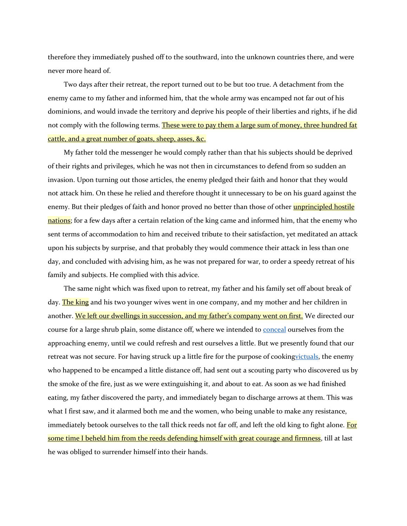therefore they immediately pushed off to the southward, into the unknown countries there, and were never more heard of.

Two days after their retreat, the report turned out to be but too true. A detachment from the enemy came to my father and informed him, that the whole army was encamped not far out of his dominions, and would invade the territory and deprive his people of their liberties and rights, if he did not comply with the following terms. These were to pay them a large sum of money, three hundred fat [cattle, and a great number of goats, sheep, asses, &c.](http://www.learnnc.org/lp/editions/nchist-colonial/1985#comment-1027)

My father told the messenger he would comply rather than that his subjects should be deprived of their rights and privileges, which he was not then in circumstances to defend from so sudden an invasion. Upon turning out those articles, the enemy pledged their faith and honor that they would not attack him. On these he relied and therefore thought it unnecessary to be on his guard against the enemy. But their pledges of faith and honor proved no better than those of other **[unprincipled](http://www.learnnc.org/lp/editions/nchist-colonial/1985#comment-1028) hostile** [nations;](http://www.learnnc.org/lp/editions/nchist-colonial/1985#comment-1028) for a few days after a certain relation of the king came and informed him, that the enemy who sent terms of accommodation to him and received tribute to their satisfaction, yet meditated an attack upon his subjects by surprise, and that probably they would commence their attack in less than one day, and concluded with advising him, as he was not prepared for war, to order a speedy retreat of his family and subjects. He complied with this advice.

The same night which was fixed upon to retreat, my father and his family set off about break of day. [The king](http://www.learnnc.org/lp/editions/nchist-colonial/1985#comment-1029) and his two younger wives went in one company, and my mother and her children in another. [We left our dwellings in succession, and my father's company went on first.](http://www.learnnc.org/lp/editions/nchist-colonial/1985#comment-1030)</u> We directed our course for a large shrub plain, some distance off, where we intended to [conceal](http://www.learnnc.org/lp/editions/nchist-colonial/glossary#conceal) ourselves from the approaching enemy, until we could refresh and rest ourselves a little. But we presently found that our retreat was not secure. For having struck up a little fire for the purpose of cookin[gvictuals,](http://www.learnnc.org/lp/editions/nchist-colonial/glossary#victuals) the enemy who happened to be encamped a little distance off, had sent out a scouting party who discovered us by the smoke of the fire, just as we were extinguishing it, and about to eat. As soon as we had finished eating, my father discovered the party, and immediately began to discharge arrows at them. This was what I first saw, and it alarmed both me and the women, who being unable to make any resistance, immediately betook ourselves to the tall thick reeds not far off, and left the old king to fight alone. For [some time I beheld him from the reeds defending himself with great courage and firmness,](http://www.learnnc.org/lp/editions/nchist-colonial/1985#comment-1031) till at last he was obliged to surrender himself into their hands.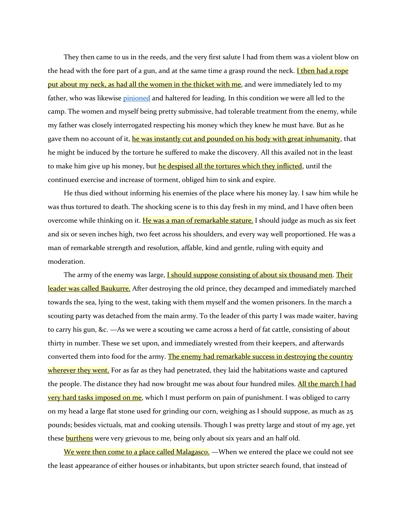They then came to us in the reeds, and the very first salute I had from them was a violent blow on the head with the fore part of a gun, and at the same time a grasp round the neck. **I then had a rope** [put about my neck, as had all the women in the thicket with me,](http://www.learnnc.org/lp/editions/nchist-colonial/1985#comment-1032) and were immediately led to my father, who was likewise [pinioned](http://www.learnnc.org/lp/editions/nchist-colonial/glossary#pinion) and haltered for leading. In this condition we were all led to the camp. The women and myself being pretty submissive, had tolerable treatment from the enemy, while my father was closely interrogated respecting his money which they knew he must have. But as he gave them no account of it, [he was instantly cut and pounded on his body with great inhumanity,](http://www.learnnc.org/lp/editions/nchist-colonial/1985#comment-1033) that he might be induced by the torture he suffered to make the discovery. All this availed not in the least to make him give up his money, but [he despised all the tortures which they inflicted,](http://www.learnnc.org/lp/editions/nchist-colonial/1985#comment-1034) until the continued exercise and increase of torment, obliged him to sink and expire.

He thus died without informing his enemies of the place where his money lay. I saw him while he was thus tortured to death. The shocking scene is to this day fresh in my mind, and I have often been overcome while thinking on it. He was a man of [remarkable stature.](http://www.learnnc.org/lp/editions/nchist-colonial/1985#comment-1035) I should judge as much as six feet and six or seven inches high, two feet across his shoulders, and every way well proportioned. He was a man of remarkable strength and resolution, affable, kind and gentle, ruling with equity and moderation.

The army of the enemy was large, **I should suppose consisting of about six thousand men**. Their [leader was called Baukurre.](http://www.learnnc.org/lp/editions/nchist-colonial/1985#comment-1037) After destroying the old prince, they decamped and immediately marched towards the sea, lying to the west, taking with them myself and the women prisoners. In the march a scouting party was detached from the main army. To the leader of this party I was made waiter, having to carry his gun, &c. —As we were a scouting we came across a herd of fat cattle, consisting of about thirty in number. These we set upon, and immediately wrested from their keepers, and afterwards converted them into food for the army. The enemy had remarkable success in destroying the country [wherever they went.](http://www.learnnc.org/lp/editions/nchist-colonial/1985#comment-1038) For as far as they had penetrated, they laid the habitations waste and captured the people. The distance they had now brought me was about four hundred miles. All the march I had [very hard tasks imposed](http://www.learnnc.org/lp/editions/nchist-colonial/1985#comment-1039) on me, which I must perform on pain of punishment. I was obliged to carry on my head a large flat stone used for grinding our corn, weighing as I should suppose, as much as 25 pounds; besides victuals, mat and cooking utensils. Though I was pretty large and stout of my age, yet these **[burthens](http://www.learnnc.org/lp/editions/nchist-colonial/1985#comment-1040)** were very grievous to me, being only about six years and an half old.

[We were then come to a place called Malagasco.](http://www.learnnc.org/lp/editions/nchist-colonial/1985#comment-1041) —When we entered the place we could not see the least appearance of either houses or inhabitants, but upon stricter search found, that instead of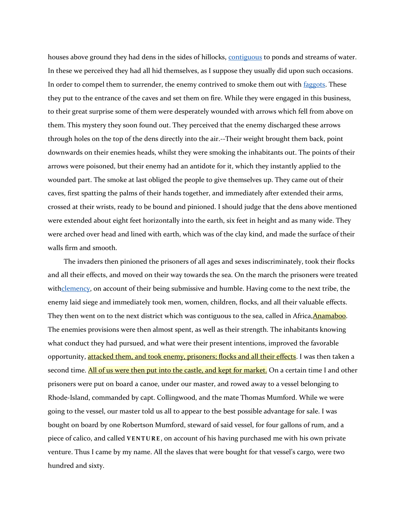houses above ground they had dens in the sides of hillocks, [contiguous](http://www.learnnc.org/lp/editions/nchist-colonial/glossary#contiguous) to ponds and streams of water. In these we perceived they had all hid themselves, as I suppose they usually did upon such occasions. In order to compel them to surrender, the enemy contrived to smoke them out with [faggots.](http://www.learnnc.org/lp/editions/nchist-colonial/glossary#faggot) These they put to the entrance of the caves and set them on fire. While they were engaged in this business, to their great surprise some of them were desperately wounded with arrows which fell from above on them. This mystery they soon found out. They perceived that the enemy discharged these arrows through holes on the top of the dens directly into the air.--Their weight brought them back, point downwards on their enemies heads, whilst they were smoking the inhabitants out. The points of their arrows were poisoned, but their enemy had an antidote for it, which they instantly applied to the wounded part. The smoke at last obliged the people to give themselves up. They came out of their caves, first spatting the palms of their hands together, and immediately after extended their arms, crossed at their wrists, ready to be bound and pinioned. I should judge that the dens above mentioned were extended about eight feet horizontally into the earth, six feet in height and as many wide. They were arched over head and lined with earth, which was of the clay kind, and made the surface of their walls firm and smooth.

The invaders then pinioned the prisoners of all ages and sexes indiscriminately, took their flocks and all their effects, and moved on their way towards the sea. On the march the prisoners were treated wit[hclemency,](http://www.learnnc.org/lp/editions/nchist-colonial/glossary#clemency) on account of their being submissive and humble. Having come to the next tribe, the enemy laid siege and immediately took men, women, children, flocks, and all their valuable effects. They then went on to the next district which was contiguous to the sea, called in Africa, Anamaboo. The enemies provisions were then almost spent, as well as their strength. The inhabitants knowing what conduct they had pursued, and what were their present intentions, improved the favorable opportunity, **attacked them, and took enemy, prisoners; flocks and all their effects**. I was then taken a second time. [All of us were then put into the castle, and kept for market.](http://www.learnnc.org/lp/editions/nchist-colonial/1985#comment-1044) On a certain time I and other prisoners were put on board a canoe, under our master, and rowed away to a vessel belonging to Rhode-Island, commanded by capt. Collingwood, and the mate Thomas Mumford. While we were going to the vessel, our master told us all to appear to the best possible advantage for sale. I was bought on board by one Robertson Mumford, steward of said vessel, for four gallons of rum, and a piece of calico, and called **VENTURE**, on account of his having purchased me with his own private venture. Thus I came by my name. All the slaves that were bought for that vessel's cargo, were two hundred and sixty.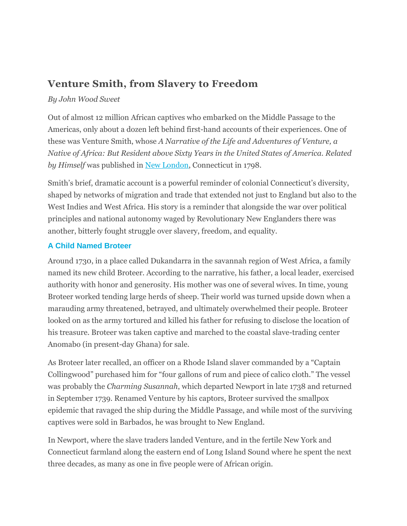# **Venture Smith, from Slavery to Freedom**

## *By John Wood Sweet*

Out of almost 12 million African captives who embarked on the Middle Passage to the Americas, only about a dozen left behind first-hand accounts of their experiences. One of these was Venture Smith, whose *A Narrative of the Life and Adventures of Venture, a Native of Africa: But Resident above Sixty Years in the United States of America. Related by Himself* was published in [New London,](http://connecticuthistory.org/towns-page/new-london/) Connecticut in 1798.

Smith's brief, dramatic account is a powerful reminder of colonial Connecticut's diversity, shaped by networks of migration and trade that extended not just to England but also to the West Indies and West Africa. His story is a reminder that alongside the war over political principles and national autonomy waged by Revolutionary New Englanders there was another, bitterly fought struggle over slavery, freedom, and equality.

## **A Child Named Broteer**

Around 1730, in a place called Dukandarra in the savannah region of West Africa, a family named its new child Broteer. According to the narrative, his father, a local leader, exercised authority with honor and generosity. His mother was one of several wives. In time, young Broteer worked tending large herds of sheep. Their world was turned upside down when a marauding army threatened, betrayed, and ultimately overwhelmed their people. Broteer looked on as the army tortured and killed his father for refusing to disclose the location of his treasure. Broteer was taken captive and marched to the coastal slave-trading center Anomabo (in present-day Ghana) for sale.

As Broteer later recalled, an officer on a Rhode Island slaver commanded by a "Captain Collingwood" purchased him for "four gallons of rum and piece of calico cloth." The vessel was probably the *Charming Susannah*, which departed Newport in late 1738 and returned in September 1739. Renamed Venture by his captors, Broteer survived the smallpox epidemic that ravaged the ship during the Middle Passage, and while most of the surviving captives were sold in Barbados, he was brought to New England.

In Newport, where the slave traders landed Venture, and in the fertile New York and Connecticut farmland along the eastern end of Long Island Sound where he spent the next three decades, as many as one in five people were of African origin.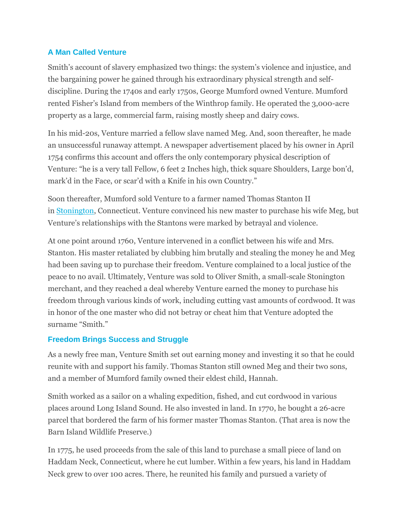## **A Man Called Venture**

Smith's account of slavery emphasized two things: the system's violence and injustice, and the bargaining power he gained through his extraordinary physical strength and selfdiscipline. During the 1740s and early 1750s, George Mumford owned Venture. Mumford rented Fisher's Island from members of the Winthrop family. He operated the 3,000-acre property as a large, commercial farm, raising mostly sheep and dairy cows.

In his mid-20s, Venture married a fellow slave named Meg. And, soon thereafter, he made an unsuccessful runaway attempt. A newspaper advertisement placed by his owner in April 1754 confirms this account and offers the only contemporary physical description of Venture: "he is a very tall Fellow, 6 feet 2 Inches high, thick square Shoulders, Large bon'd, mark'd in the Face, or scar'd with a Knife in his own Country."

Soon thereafter, Mumford sold Venture to a farmer named Thomas Stanton II in [Stonington,](http://connecticuthistory.org/towns-page/stonington/) Connecticut. Venture convinced his new master to purchase his wife Meg, but Venture's relationships with the Stantons were marked by betrayal and violence.

At one point around 1760, Venture intervened in a conflict between his wife and Mrs. Stanton. His master retaliated by clubbing him brutally and stealing the money he and Meg had been saving up to purchase their freedom. Venture complained to a local justice of the peace to no avail. Ultimately, Venture was sold to Oliver Smith, a small-scale Stonington merchant, and they reached a deal whereby Venture earned the money to purchase his freedom through various kinds of work, including cutting vast amounts of cordwood. It was in honor of the one master who did not betray or cheat him that Venture adopted the surname "Smith."

## **Freedom Brings Success and Struggle**

As a newly free man, Venture Smith set out earning money and investing it so that he could reunite with and support his family. Thomas Stanton still owned Meg and their two sons, and a member of Mumford family owned their eldest child, Hannah.

Smith worked as a sailor on a whaling expedition, fished, and cut cordwood in various places around Long Island Sound. He also invested in land. In 1770, he bought a 26-acre parcel that bordered the farm of his former master Thomas Stanton. (That area is now the Barn Island Wildlife Preserve.)

In 1775, he used proceeds from the sale of this land to purchase a small piece of land on Haddam Neck, Connecticut, where he cut lumber. Within a few years, his land in Haddam Neck grew to over 100 acres. There, he reunited his family and pursued a variety of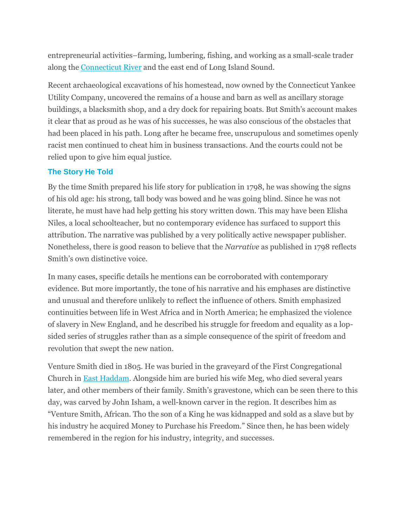entrepreneurial activities–farming, lumbering, fishing, and working as a small-scale trader along the [Connecticut River](http://connecticuthistory.org/the-connecticut-river/) and the east end of Long Island Sound.

Recent archaeological excavations of his homestead, now owned by the Connecticut Yankee Utility Company, uncovered the remains of a house and barn as well as ancillary storage buildings, a blacksmith shop, and a dry dock for repairing boats. But Smith's account makes it clear that as proud as he was of his successes, he was also conscious of the obstacles that had been placed in his path. Long after he became free, unscrupulous and sometimes openly racist men continued to cheat him in business transactions. And the courts could not be relied upon to give him equal justice.

## **The Story He Told**

By the time Smith prepared his life story for publication in 1798, he was showing the signs of his old age: his strong, tall body was bowed and he was going blind. Since he was not literate, he must have had help getting his story written down. This may have been Elisha Niles, a local schoolteacher, but no contemporary evidence has surfaced to support this attribution. The narrative was published by a very politically active newspaper publisher. Nonetheless, there is good reason to believe that the *Narrative* as published in 1798 reflects Smith's own distinctive voice.

In many cases, specific details he mentions can be corroborated with contemporary evidence. But more importantly, the tone of his narrative and his emphases are distinctive and unusual and therefore unlikely to reflect the influence of others. Smith emphasized continuities between life in West Africa and in North America; he emphasized the violence of slavery in New England, and he described his struggle for freedom and equality as a lopsided series of struggles rather than as a simple consequence of the spirit of freedom and revolution that swept the new nation.

Venture Smith died in 1805. He was buried in the graveyard of the First Congregational Church in [East Haddam.](http://connecticuthistory.org/towns-page/east-haddam/) Alongside him are buried his wife Meg, who died several years later, and other members of their family. Smith's gravestone, which can be seen there to this day, was carved by John Isham, a well-known carver in the region. It describes him as "Venture Smith, African. Tho the son of a King he was kidnapped and sold as a slave but by his industry he acquired Money to Purchase his Freedom." Since then, he has been widely remembered in the region for his industry, integrity, and successes.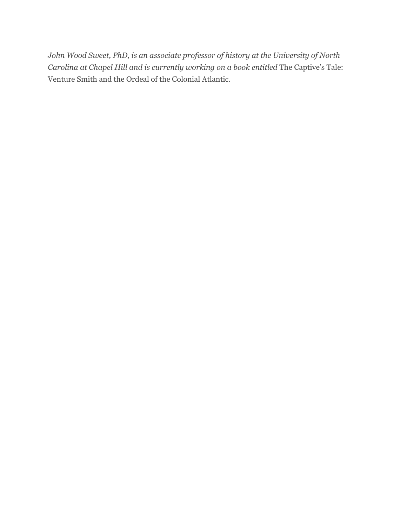*John Wood Sweet, PhD, is an associate professor of history at the University of North Carolina at Chapel Hill and is currently working on a book entitled* The Captive's Tale: Venture Smith and the Ordeal of the Colonial Atlantic*.*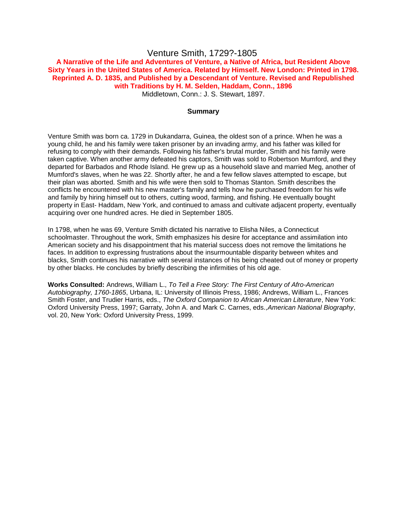### Venture Smith, 1729?-1805

#### **A Narrative of the Life and Adventures of Venture, a Native of Africa, but Resident Above Sixty Years in the United States of America. Related by Himself. New London: Printed in 1798. Reprinted A. D. 1835, and Published by a Descendant of Venture. Revised and Republished with Traditions by H. M. Selden, Haddam, Conn., 1896** Middletown, Conn.: J. S. Stewart, 1897.

#### **Summary**

Venture Smith was born ca. 1729 in Dukandarra, Guinea, the oldest son of a prince. When he was a young child, he and his family were taken prisoner by an invading army, and his father was killed for refusing to comply with their demands. Following his father's brutal murder, Smith and his family were taken captive. When another army defeated his captors, Smith was sold to Robertson Mumford, and they departed for Barbados and Rhode Island. He grew up as a household slave and married Meg, another of Mumford's slaves, when he was 22. Shortly after, he and a few fellow slaves attempted to escape, but their plan was aborted. Smith and his wife were then sold to Thomas Stanton. Smith describes the conflicts he encountered with his new master's family and tells how he purchased freedom for his wife and family by hiring himself out to others, cutting wood, farming, and fishing. He eventually bought property in East- Haddam, New York, and continued to amass and cultivate adjacent property, eventually acquiring over one hundred acres. He died in September 1805.

In 1798, when he was 69, Venture Smith dictated his narrative to Elisha Niles, a Connecticut schoolmaster. Throughout the work, Smith emphasizes his desire for acceptance and assimilation into American society and his disappointment that his material success does not remove the limitations he faces. In addition to expressing frustrations about the insurmountable disparity between whites and blacks, Smith continues his narrative with several instances of his being cheated out of money or property by other blacks. He concludes by briefly describing the infirmities of his old age.

**Works Consulted:** Andrews, William L., *To Tell a Free Story: The First Century of Afro-American Autobiography, 1760-1865*, Urbana, IL: University of Illinois Press, 1986; Andrews, William L., Frances Smith Foster, and Trudier Harris, eds., *The Oxford Companion to African American Literature*, New York: Oxford University Press, 1997; Garraty, John A. and Mark C. Carnes, eds.,*American National Biography*, vol. 20, New York: Oxford University Press, 1999.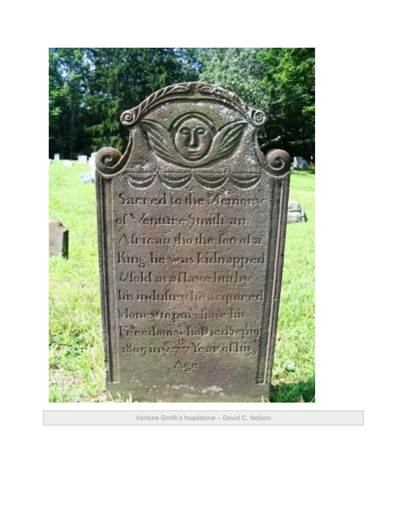

Venture Smith's headstone – David C. Nelson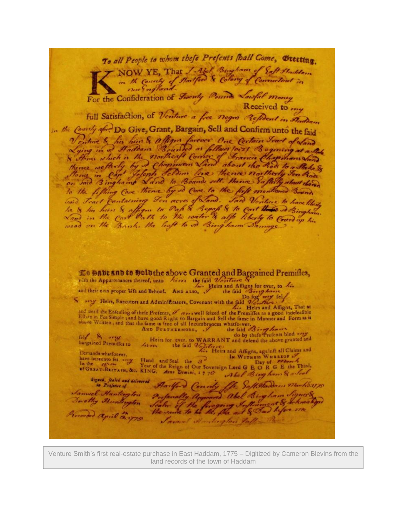To all People to whom thefe Prefents [hall Gome, Greeting. all People to whom they I had Bingham of Eaft Staddam For the Confideration of Spenty Pounds Loughl money full Satisfaction, of Venture a free negro Refident in Fladdam in the County of Do Give, Grant, Bargain, Sell and Confirm unto the faid Venture & his heir & affigns forever One Certain Irad of Land<br>Lying in a Haddam Bounded as follows torzi Begining at a take<br>With which is the northeast Corner of Francis Chapmans Sand<br>Hones in Capt Jefeph Schommans Land ab to the fifting Cove thence by so Cove to the fift mentioned Bounds Lo Babe and to Doluthe above Granted and Bargained Premifies, with the Appurtenances thereof, unto hirry the faid Venture with the Appurtenances thereof, unto Merry the faid Wersters cy<br>and their own proper Wie and Behoof. AND ALSO, The faid Bings for ever, to his and their own proper Ufe and Behoof. AND ALSO, the faid Berg Loves to the Southern Company Heirs, Executors and Administrators, Covenant with the faid Benefits as a good indefeatible<br>
Solution and the Enfecting of the Pref fel & orter<br>bargained Premiffes to Heirs for ever. to WARRANT and defend the above granted and<br>
the faid Varters.<br>
Theirs and Affigns, sgainft all Claims and<br>
Hand and Seal the 3<sup>2</sup> Demands whatforver. have derevoid for some Hand and Seal the a law WITRESS WHEREOF of the Reign of Our Sovereign Lord G E O R G E the Third, of GREAT-BRITAIN, &c. KING, Anne Demini, 1 7 7th Akef Bing heros S, alleaf Abel Bing ham & a Seal Signal, feeled and delivered Aartford County for Saff Harden, Marks. 1775 Samuel Huntergton Destanally approved abel Bingham Signer& Devetty Stuntington Scaler of the foregoing Influencet & School Procorded april 18.175 Samuel Angloryton falls Part

Venture Smith's first real-estate purchase in East Haddam, 1775 – Digitized by Cameron Blevins from the land records of the town of Haddam